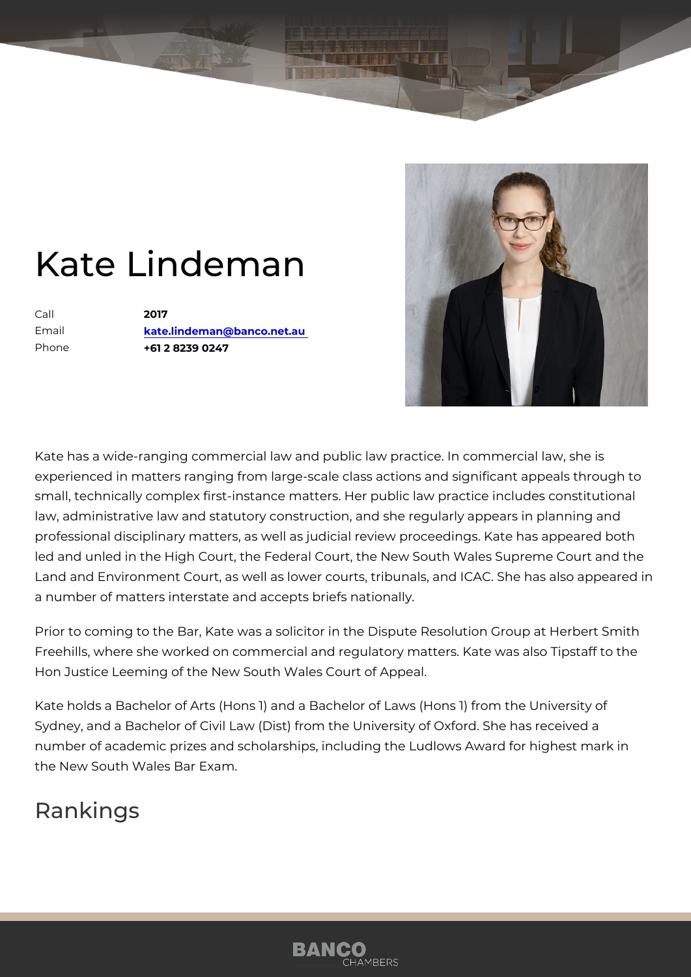## Kate Lindeman

Call 2017 Email [kate.lindeman@banco.](mailto:kate.lindeman@banco.net.au)net.au Phone +61 2 8239 0247

Kate has a wide-ranging commercial law and public law practice. In comm experienced in matters ranging from large-scale class actions and signifi small, technically complex first-instance matters. Her public law practice law, administrative law and statutory construction, and she regularly app professional disciplinary matters, as well as judicial review proceedings. led and unled in the High Court, the Federal Court, the New South Wales Land and Environment Court, as well as lower courts, tribunals, and ICA a number of matters interstate and accepts briefs nationally.

Prior to coming to the Bar, Kate was a solicitor in the Dispute Resolutior Freehills, where she worked on commercial and regulatory matters. Kate Hon Justice Leeming of the New South Wales Court of Appeal.

Kate holds a Bachelor of Arts (Hons 1) and a Bachelor of Laws (Hons 1) f Sydney, and a Bachelor of Civil Law (Dist) from the University of Oxford. number of academic prizes and scholarships, including the Ludlows Award the New South Wales Bar Exam.

Rankings